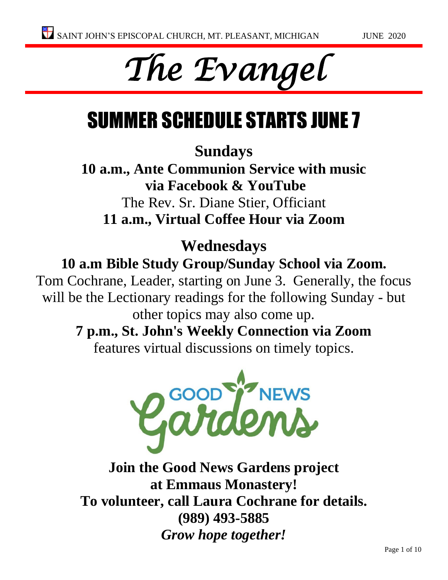# *The Evangel*

# SUMMER SCHEDULE STARTS JUNE 7

**Sundays**

**10 a.m., Ante Communion Service with music via Facebook & YouTube** The Rev. Sr. Diane Stier, Officiant **11 a.m., Virtual Coffee Hour via Zoom**

**Wednesdays**

# **10 a.m Bible Study Group/Sunday School via Zoom.**

Tom Cochrane, Leader, starting on June 3. Generally, the focus will be the Lectionary readings for the following Sunday - but other topics may also come up.

**7 p.m., St. John's Weekly Connection via Zoom** features virtual discussions on timely topics.



**Join the Good News Gardens project at Emmaus Monastery! To volunteer, call Laura Cochrane for details. (989) 493-5885** *Grow hope together!*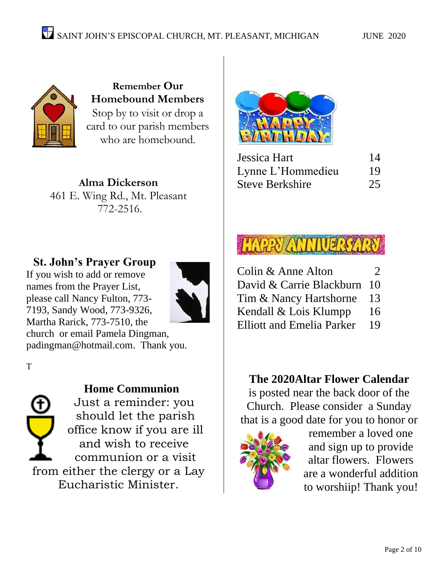

**Remember Our Homebound Members** Stop by to visit or drop a card to our parish members who are homebound.

**Alma Dickerson** 461 E. Wing Rd., Mt. Pleasant 772-2516.

# **St. John's Prayer Group**

If you wish to add or remove names from the Prayer List, please call Nancy Fulton, 773- 7193, Sandy Wood, 773-9326, Martha Rarick, 773-7510, the



church or email Pamela Dingman, [padingman@hotmail.com.](mailto:padingman@hotmail.com) Thank you.

T



# **Home Communion**

Just a reminder: you should let the parish office know if you are ill and wish to receive communion or a visit from either the clergy or a Lay Eucharistic Minister.



| Jessica Hart      | 14 |
|-------------------|----|
| Lynne L'Hommedieu | 19 |
| Steve Berkshire   | 25 |



| Colin & Anne Alton               | $\mathcal{L}$ |
|----------------------------------|---------------|
| David & Carrie Blackburn 10      |               |
| Tim & Nancy Hartshorne           | 13            |
| Kendall & Lois Klumpp            | 16            |
| <b>Elliott and Emelia Parker</b> | 19            |

# **The 2020Altar Flower Calendar**

is posted near the back door of the Church. Please consider a Sunday that is a good date for you to honor or



remember a loved one and sign up to provide altar flowers. Flowers are a wonderful addition to worshiip! Thank you!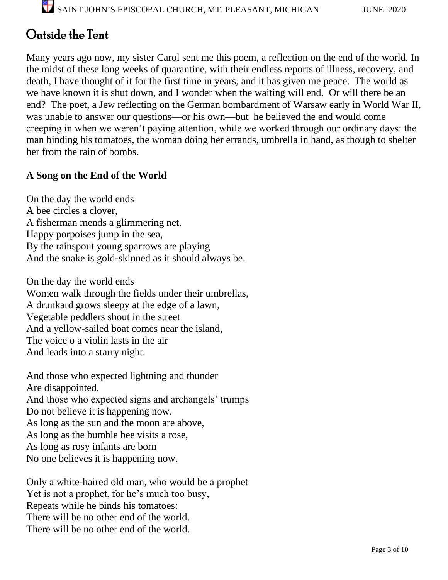# Outside the Tent

Many years ago now, my sister Carol sent me this poem, a reflection on the end of the world. In the midst of these long weeks of quarantine, with their endless reports of illness, recovery, and death, I have thought of it for the first time in years, and it has given me peace. The world as we have known it is shut down, and I wonder when the waiting will end. Or will there be an end? The poet, a Jew reflecting on the German bombardment of Warsaw early in World War II, was unable to answer our questions—or his own—but he believed the end would come creeping in when we weren't paying attention, while we worked through our ordinary days: the man binding his tomatoes, the woman doing her errands, umbrella in hand, as though to shelter her from the rain of bombs.

# **A Song on the End of the World**

On the day the world ends A bee circles a clover, A fisherman mends a glimmering net. Happy porpoises jump in the sea, By the rainspout young sparrows are playing And the snake is gold-skinned as it should always be.

On the day the world ends Women walk through the fields under their umbrellas, A drunkard grows sleepy at the edge of a lawn, Vegetable peddlers shout in the street And a yellow-sailed boat comes near the island, The voice o a violin lasts in the air And leads into a starry night.

And those who expected lightning and thunder Are disappointed, And those who expected signs and archangels' trumps Do not believe it is happening now. As long as the sun and the moon are above, As long as the bumble bee visits a rose, As long as rosy infants are born No one believes it is happening now.

Only a white-haired old man, who would be a prophet Yet is not a prophet, for he's much too busy, Repeats while he binds his tomatoes: There will be no other end of the world. There will be no other end of the world.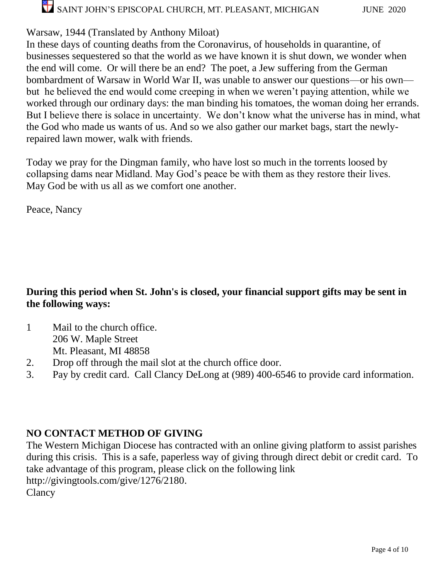

# Warsaw, 1944 (Translated by Anthony Miloat)

In these days of counting deaths from the Coronavirus, of households in quarantine, of businesses sequestered so that the world as we have known it is shut down, we wonder when the end will come. Or will there be an end? The poet, a Jew suffering from the German bombardment of Warsaw in World War II, was unable to answer our questions—or his own but he believed the end would come creeping in when we weren't paying attention, while we worked through our ordinary days: the man binding his tomatoes, the woman doing her errands. But I believe there is solace in uncertainty. We don't know what the universe has in mind, what the God who made us wants of us. And so we also gather our market bags, start the newlyrepaired lawn mower, walk with friends.

Today we pray for the Dingman family, who have lost so much in the torrents loosed by collapsing dams near Midland. May God's peace be with them as they restore their lives. May God be with us all as we comfort one another.

Peace, Nancy

# **During this period when St. John's is closed, your financial support gifts may be sent in the following ways:**

- 1 Mail to the church office. 206 W. Maple Street Mt. Pleasant, MI 48858
- 2. Drop off through the mail slot at the church office door.
- 3. Pay by credit card. Call Clancy DeLong at (989) 400-6546 to provide card information.

# **NO CONTACT METHOD OF GIVING**

The Western Michigan Diocese has contracted with an online giving platform to assist parishes during this crisis. This is a safe, paperless way of giving through direct debit or credit card. To take advantage of this program, please click on the following link [http://givingtools.com/give/1276/2180.](http://givingtools.com/give/1276/2180) Clancy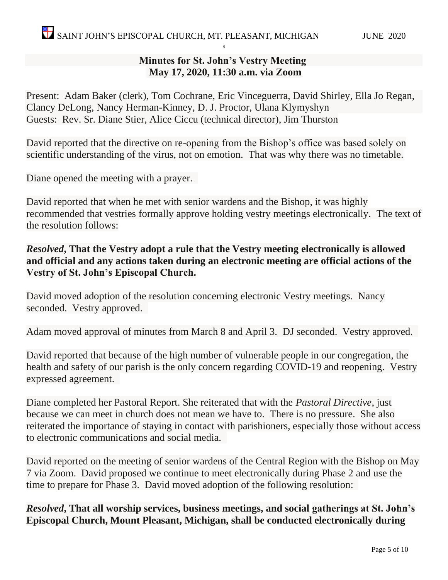# **Minutes for St. John's Vestry Meeting May 17, 2020, 11:30 a.m. via Zoom**

S

Present: Adam Baker (clerk), Tom Cochrane, Eric Vinceguerra, David Shirley, Ella Jo Regan, Clancy DeLong, Nancy Herman-Kinney, D. J. Proctor, Ulana Klymyshyn Guests: Rev. Sr. Diane Stier, Alice Ciccu (technical director), Jim Thurston

David reported that the directive on re-opening from the Bishop's office was based solely on scientific understanding of the virus, not on emotion. That was why there was no timetable.

Diane opened the meeting with a prayer.

David reported that when he met with senior wardens and the Bishop, it was highly recommended that vestries formally approve holding vestry meetings electronically. The text of the resolution follows:

*Resolved***, That the Vestry adopt a rule that the Vestry meeting electronically is allowed and official and any actions taken during an electronic meeting are official actions of the Vestry of St. John's Episcopal Church.**

David moved adoption of the resolution concerning electronic Vestry meetings. Nancy seconded. Vestry approved.

Adam moved approval of minutes from March 8 and April 3. DJ seconded. Vestry approved.

David reported that because of the high number of vulnerable people in our congregation, the health and safety of our parish is the only concern regarding COVID-19 and reopening. Vestry expressed agreement.

Diane completed her Pastoral Report. She reiterated that with the *Pastoral Directive*, just because we can meet in church does not mean we have to. There is no pressure. She also reiterated the importance of staying in contact with parishioners, especially those without access to electronic communications and social media.

David reported on the meeting of senior wardens of the Central Region with the Bishop on May 7 via Zoom. David proposed we continue to meet electronically during Phase 2 and use the time to prepare for Phase 3. David moved adoption of the following resolution:

*Resolved***, That all worship services, business meetings, and social gatherings at St. John's Episcopal Church, Mount Pleasant, Michigan, shall be conducted electronically during**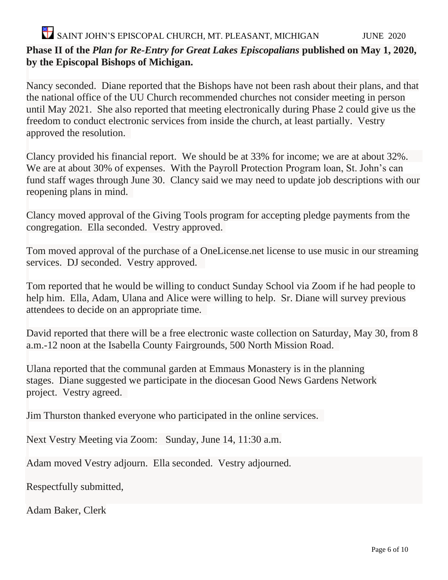SAINT JOHN'S EPISCOPAL CHURCH, MT. PLEASANT, MICHIGAN JUNE 2020

# **Phase II of the** *Plan for Re-Entry for Great Lakes Episcopalians* **published on May 1, 2020, by the Episcopal Bishops of Michigan.**

Nancy seconded. Diane reported that the Bishops have not been rash about their plans, and that the national office of the UU Church recommended churches not consider meeting in person until May 2021. She also reported that meeting electronically during Phase 2 could give us the freedom to conduct electronic services from inside the church, at least partially. Vestry approved the resolution.

Clancy provided his financial report. We should be at 33% for income; we are at about 32%. We are at about 30% of expenses. With the Payroll Protection Program loan, St. John's can fund staff wages through June 30. Clancy said we may need to update job descriptions with our reopening plans in mind.

Clancy moved approval of the Giving Tools program for accepting pledge payments from the congregation. Ella seconded. Vestry approved.

Tom moved approval of the purchase of a OneLicense.net license to use music in our streaming services. DJ seconded. Vestry approved.

Tom reported that he would be willing to conduct Sunday School via Zoom if he had people to help him. Ella, Adam, Ulana and Alice were willing to help. Sr. Diane will survey previous attendees to decide on an appropriate time.

David reported that there will be a free electronic waste collection on Saturday, May 30, from 8 a.m.-12 noon at the Isabella County Fairgrounds, 500 North Mission Road.

Ulana reported that the communal garden at Emmaus Monastery is in the planning stages. Diane suggested we participate in the diocesan Good News Gardens Network project. Vestry agreed.

Jim Thurston thanked everyone who participated in the online services.

Next Vestry Meeting via Zoom: Sunday, June 14, 11:30 a.m.

Adam moved Vestry adjourn. Ella seconded. Vestry adjourned.

Respectfully submitted,

Adam Baker, Clerk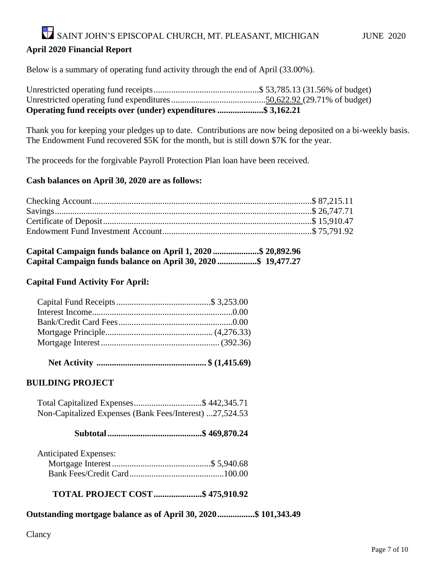# SAINT JOHN'S EPISCOPAL CHURCH, MT. PLEASANT, MICHIGAN JUNE 2020 **April 2020 Financial Report**

Below is a summary of operating fund activity through the end of April (33.00%).

| Operating fund receipts over (under) expenditures \$ 3,162.21 |  |
|---------------------------------------------------------------|--|

Thank you for keeping your pledges up to date. Contributions are now being deposited on a bi-weekly basis. The Endowment Fund recovered \$5K for the month, but is still down \$7K for the year.

The proceeds for the forgivable Payroll Protection Plan loan have been received.

#### **Cash balances on April 30, 2020 are as follows:**

| Capital Campaign funds balance on April 1, 2020 \$ 20,892.96  |  |
|---------------------------------------------------------------|--|
| Capital Campaign funds balance on April 30, 2020 \$ 19,477.27 |  |

#### **Capital Fund Activity For April:**

|--|--|--|--|

#### **BUILDING PROJECT**

 Total Capitalized Expenses...............................\$ 442,345.71 Non-Capitalized Expenses (Bank Fees/Interest) ...27,524.53

#### **Subtotal...........................................\$ 469,870.24**

| <b>Anticipated Expenses:</b> |  |
|------------------------------|--|
|                              |  |
|                              |  |

#### **TOTAL PROJECT COST......................\$ 475,910.92**

#### **Outstanding mortgage balance as of April 30, 2020.................\$ 101,343.49**

**Clancy**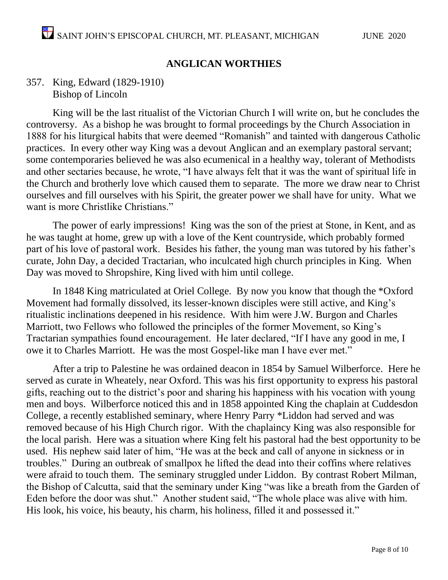# **ANGLICAN WORTHIES**

#### 357. King, Edward (1829-1910) Bishop of Lincoln

King will be the last ritualist of the Victorian Church I will write on, but he concludes the controversy. As a bishop he was brought to formal proceedings by the Church Association in 1888 for his liturgical habits that were deemed "Romanish" and tainted with dangerous Catholic practices. In every other way King was a devout Anglican and an exemplary pastoral servant; some contemporaries believed he was also ecumenical in a healthy way, tolerant of Methodists and other sectaries because, he wrote, "I have always felt that it was the want of spiritual life in the Church and brotherly love which caused them to separate. The more we draw near to Christ ourselves and fill ourselves with his Spirit, the greater power we shall have for unity. What we want is more Christlike Christians."

The power of early impressions! King was the son of the priest at Stone, in Kent, and as he was taught at home, grew up with a love of the Kent countryside, which probably formed part of his love of pastoral work. Besides his father, the young man was tutored by his father's curate, John Day, a decided Tractarian, who inculcated high church principles in King. When Day was moved to Shropshire, King lived with him until college.

In 1848 King matriculated at Oriel College. By now you know that though the \*Oxford Movement had formally dissolved, its lesser-known disciples were still active, and King's ritualistic inclinations deepened in his residence. With him were J.W. Burgon and Charles Marriott, two Fellows who followed the principles of the former Movement, so King's Tractarian sympathies found encouragement. He later declared, "If I have any good in me, I owe it to Charles Marriott. He was the most Gospel-like man I have ever met."

After a trip to Palestine he was ordained deacon in 1854 by Samuel Wilberforce. Here he served as curate in Wheately, near Oxford. This was his first opportunity to express his pastoral gifts, reaching out to the district's poor and sharing his happiness with his vocation with young men and boys. Wilberforce noticed this and in 1858 appointed King the chaplain at Cuddesdon College, a recently established seminary, where Henry Parry \*Liddon had served and was removed because of his High Church rigor. With the chaplaincy King was also responsible for the local parish. Here was a situation where King felt his pastoral had the best opportunity to be used. His nephew said later of him, "He was at the beck and call of anyone in sickness or in troubles." During an outbreak of smallpox he lifted the dead into their coffins where relatives were afraid to touch them. The seminary struggled under Liddon. By contrast Robert Milman, the Bishop of Calcutta, said that the seminary under King "was like a breath from the Garden of Eden before the door was shut." Another student said, "The whole place was alive with him. His look, his voice, his beauty, his charm, his holiness, filled it and possessed it."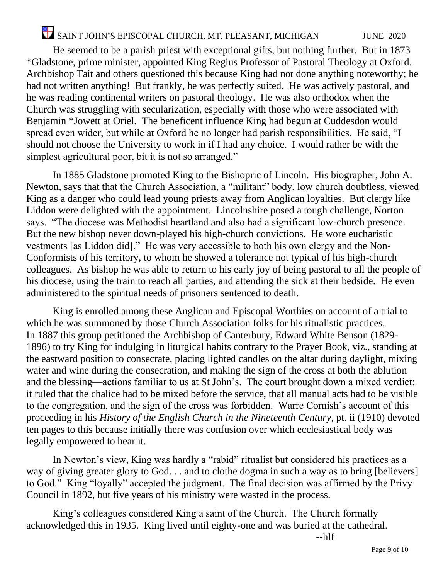# SAINT JOHN'S EPISCOPAL CHURCH, MT. PLEASANT, MICHIGAN JUNE 2020

He seemed to be a parish priest with exceptional gifts, but nothing further. But in 1873 \*Gladstone, prime minister, appointed King Regius Professor of Pastoral Theology at Oxford. Archbishop Tait and others questioned this because King had not done anything noteworthy; he had not written anything! But frankly, he was perfectly suited. He was actively pastoral, and he was reading continental writers on pastoral theology. He was also orthodox when the Church was struggling with secularization, especially with those who were associated with Benjamin \*Jowett at Oriel. The beneficent influence King had begun at Cuddesdon would spread even wider, but while at Oxford he no longer had parish responsibilities. He said, "I should not choose the University to work in if I had any choice. I would rather be with the simplest agricultural poor, bit it is not so arranged."

In 1885 Gladstone promoted King to the Bishopric of Lincoln. His biographer, John A. Newton, says that that the Church Association, a "militant" body, low church doubtless, viewed King as a danger who could lead young priests away from Anglican loyalties. But clergy like Liddon were delighted with the appointment. Lincolnshire posed a tough challenge, Norton says. "The diocese was Methodist heartland and also had a significant low-church presence. But the new bishop never down-played his high-church convictions. He wore eucharistic vestments [as Liddon did]." He was very accessible to both his own clergy and the Non-Conformists of his territory, to whom he showed a tolerance not typical of his high-church colleagues. As bishop he was able to return to his early joy of being pastoral to all the people of his diocese, using the train to reach all parties, and attending the sick at their bedside. He even administered to the spiritual needs of prisoners sentenced to death.

King is enrolled among these Anglican and Episcopal Worthies on account of a trial to which he was summoned by those Church Association folks for his ritualistic practices. In 1887 this group petitioned the Archbishop of Canterbury, Edward White Benson (1829- 1896) to try King for indulging in liturgical habits contrary to the Prayer Book, viz., standing at the eastward position to consecrate, placing lighted candles on the altar during daylight, mixing water and wine during the consecration, and making the sign of the cross at both the ablution and the blessing—actions familiar to us at St John's. The court brought down a mixed verdict: it ruled that the chalice had to be mixed before the service, that all manual acts had to be visible to the congregation, and the sign of the cross was forbidden. Warre Cornish's account of this proceeding in his *History of the English Church in the Nineteenth Century*, pt. ii (1910) devoted ten pages to this because initially there was confusion over which ecclesiastical body was legally empowered to hear it.

In Newton's view, King was hardly a "rabid" ritualist but considered his practices as a way of giving greater glory to God. . . and to clothe dogma in such a way as to bring [believers] to God." King "loyally" accepted the judgment. The final decision was affirmed by the Privy Council in 1892, but five years of his ministry were wasted in the process.

King's colleagues considered King a saint of the Church. The Church formally acknowledged this in 1935. King lived until eighty-one and was buried at the cathedral.

--hlf